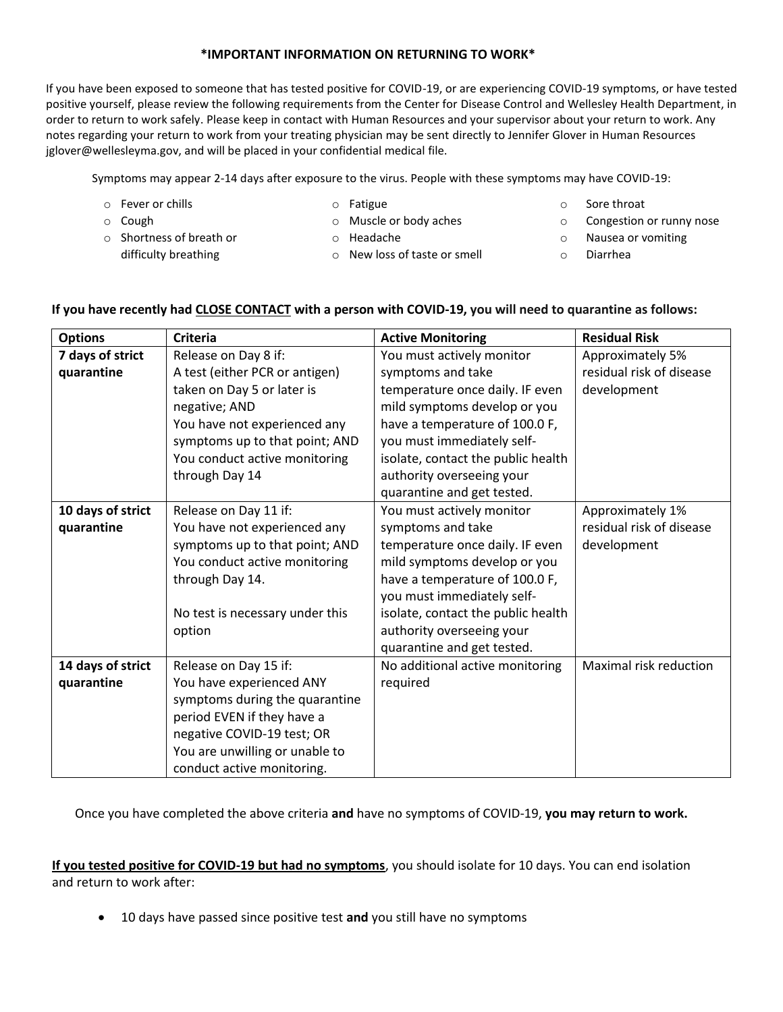## **\*IMPORTANT INFORMATION ON RETURNING TO WORK\***

If you have been exposed to someone that has tested positive for COVID-19, or are experiencing COVID-19 symptoms, or have tested positive yourself, please review the following requirements from the Center for Disease Control and Wellesley Health Department, in order to return to work safely. Please keep in contact with Human Resources and your supervisor about your return to work. Any notes regarding your return to work from your treating physician may be sent directly to Jennifer Glover in Human Resources jglover@wellesleyma.gov, and will be placed in your confidential medical file.

Symptoms may appear 2-14 days after exposure to the virus. People with these symptoms may have COVID-19:

o Fever or chills

o Fatigue

o Cough

- 
- 
- o Shortness of breath or difficulty breathing
- o Muscle or body aches
- o Headache
- o New loss of taste or smell
- o Sore throat
- o Congestion or runny nose
- o Nausea or vomiting
- o Diarrhea

## **If you have recently had CLOSE CONTACT with a person with COVID-19, you will need to quarantine as follows:**

| <b>Options</b>    | <b>Criteria</b>                 | <b>Active Monitoring</b>           | <b>Residual Risk</b>     |
|-------------------|---------------------------------|------------------------------------|--------------------------|
| 7 days of strict  | Release on Day 8 if:            | You must actively monitor          | Approximately 5%         |
| quarantine        | A test (either PCR or antigen)  | symptoms and take                  | residual risk of disease |
|                   | taken on Day 5 or later is      | temperature once daily. IF even    | development              |
|                   | negative; AND                   | mild symptoms develop or you       |                          |
|                   | You have not experienced any    | have a temperature of 100.0 F,     |                          |
|                   | symptoms up to that point; AND  | you must immediately self-         |                          |
|                   | You conduct active monitoring   | isolate, contact the public health |                          |
|                   | through Day 14                  | authority overseeing your          |                          |
|                   |                                 | quarantine and get tested.         |                          |
| 10 days of strict | Release on Day 11 if:           | You must actively monitor          | Approximately 1%         |
| quarantine        | You have not experienced any    | symptoms and take                  | residual risk of disease |
|                   | symptoms up to that point; AND  | temperature once daily. IF even    | development              |
|                   | You conduct active monitoring   | mild symptoms develop or you       |                          |
|                   | through Day 14.                 | have a temperature of 100.0 F,     |                          |
|                   |                                 | you must immediately self-         |                          |
|                   | No test is necessary under this | isolate, contact the public health |                          |
|                   | option                          | authority overseeing your          |                          |
|                   |                                 | quarantine and get tested.         |                          |
| 14 days of strict | Release on Day 15 if:           | No additional active monitoring    | Maximal risk reduction   |
| quarantine        | You have experienced ANY        | required                           |                          |
|                   | symptoms during the quarantine  |                                    |                          |
|                   | period EVEN if they have a      |                                    |                          |
|                   | negative COVID-19 test; OR      |                                    |                          |
|                   | You are unwilling or unable to  |                                    |                          |
|                   | conduct active monitoring.      |                                    |                          |

Once you have completed the above criteria **and** have no symptoms of COVID-19, **you may return to work.**

**If you tested positive for COVID-19 but had no symptoms**, you should isolate for 10 days. You can end isolation and return to work after:

10 days have passed since positive test **and** you still have no symptoms